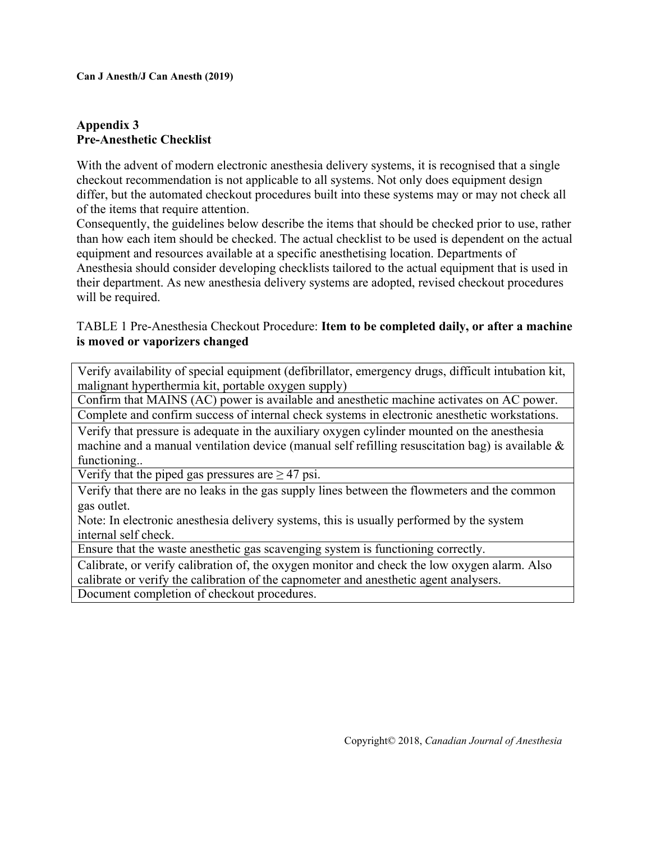## **Appendix 3 Pre-Anesthetic Checklist**

With the advent of modern electronic anesthesia delivery systems, it is recognised that a single checkout recommendation is not applicable to all systems. Not only does equipment design differ, but the automated checkout procedures built into these systems may or may not check all of the items that require attention.

Consequently, the guidelines below describe the items that should be checked prior to use, rather than how each item should be checked. The actual checklist to be used is dependent on the actual equipment and resources available at a specific anesthetising location. Departments of Anesthesia should consider developing checklists tailored to the actual equipment that is used in their department. As new anesthesia delivery systems are adopted, revised checkout procedures will be required.

## TABLE 1 Pre-Anesthesia Checkout Procedure: **Item to be completed daily, or after a machine is moved or vaporizers changed**

Verify availability of special equipment (defibrillator, emergency drugs, difficult intubation kit, malignant hyperthermia kit, portable oxygen supply)

Confirm that MAINS (AC) power is available and anesthetic machine activates on AC power.

Complete and confirm success of internal check systems in electronic anesthetic workstations.

Verify that pressure is adequate in the auxiliary oxygen cylinder mounted on the anesthesia machine and a manual ventilation device (manual self refilling resuscitation bag) is available  $\&$ functioning..

Verify that the piped gas pressures are  $\geq$  47 psi.

Verify that there are no leaks in the gas supply lines between the flowmeters and the common gas outlet.

Note: In electronic anesthesia delivery systems, this is usually performed by the system internal self check.

Ensure that the waste anesthetic gas scavenging system is functioning correctly.

Calibrate, or verify calibration of, the oxygen monitor and check the low oxygen alarm. Also calibrate or verify the calibration of the capnometer and anesthetic agent analysers. Document completion of checkout procedures.